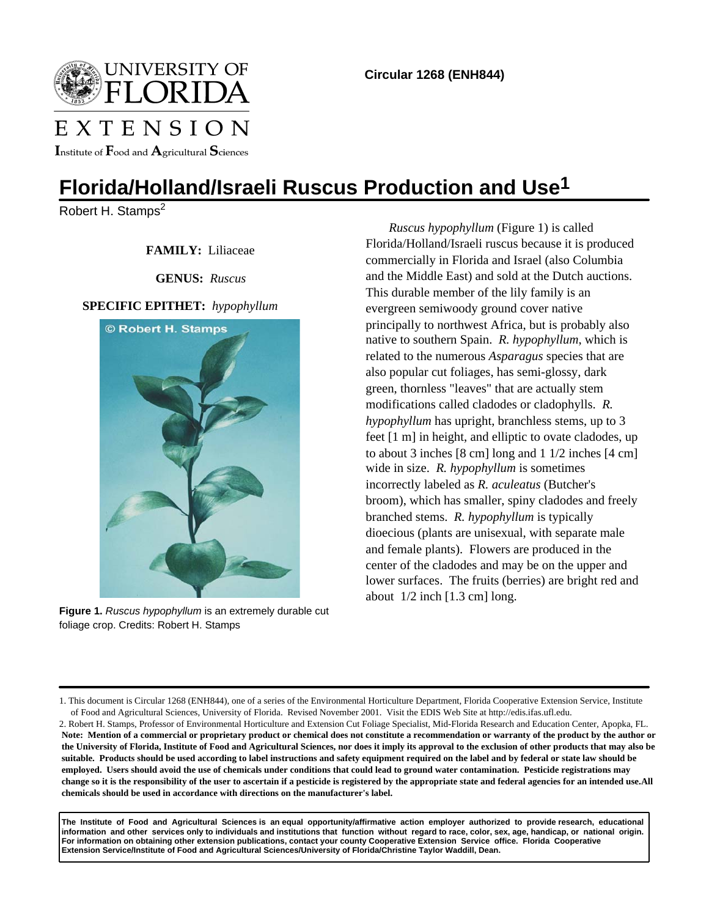

EXTENSION

Institute of  $\mathbf F$ ood and  $\mathbf A$ gricultural  $\mathbf S$ ciences

# **Florida/Holland/Israeli Ruscus Production and Use1**

Robert H. Stamps<sup>2</sup>

 **FAMILY:** Liliaceae

 **GENUS:** *Ruscus*

## **SPECIFIC EPITHET:** *hypophyllum*



**Figure 1.** *Ruscus hypophyllum* is an extremely durable cut foliage crop. Credits: Robert H. Stamps

*Ruscus hypophyllum* (Figure 1) is called Florida/Holland/Israeli ruscus because it is produced commercially in Florida and Israel (also Columbia and the Middle East) and sold at the Dutch auctions. This durable member of the lily family is an evergreen semiwoody ground cover native principally to northwest Africa, but is probably also native to southern Spain. *R. hypophyllum*, which is related to the numerous *Asparagus* species that are also popular cut foliages, has semi-glossy, dark green, thornless "leaves" that are actually stem modifications called cladodes or cladophylls. *R. hypophyllum* has upright, branchless stems, up to 3 feet [1 m] in height, and elliptic to ovate cladodes, up to about 3 inches [8 cm] long and 1 1/2 inches [4 cm] wide in size. *R. hypophyllum* is sometimes incorrectly labeled as *R. aculeatus* (Butcher's broom), which has smaller, spiny cladodes and freely branched stems. *R. hypophyllum* is typically dioecious (plants are unisexual, with separate male and female plants). Flowers are produced in the center of the cladodes and may be on the upper and lower surfaces. The fruits (berries) are bright red and about 1/2 inch [1.3 cm] long.

**The Institute of Food and Agricultural Sciences is an equal opportunity/affirmative action employer authorized to provide research, educational information and other services only to individuals and institutions that function without regard to race, color, sex, age, handicap, or national origin. For information on obtaining other extension publications, contact your county Cooperative Extension Service office. Florida Cooperative Extension Service/Institute of Food and Agricultural Sciences/University of Florida/Christine Taylor Waddill, Dean.**

<sup>1.</sup> This document is Circular 1268 (ENH844), one of a series of the Environmental Horticulture Department, Florida Cooperative Extension Service, Institute of Food and Agricultural Sciences, University of Florida. Revised November 2001. Visit the EDIS Web Site at http://edis.ifas.ufl.edu.

<sup>2.</sup> Robert H. Stamps, Professor of Environmental Horticulture and Extension Cut Foliage Specialist, Mid-Florida Research and Education Center, Apopka, FL. **Note: Mention of a commercial or proprietary product or chemical does not constitute a recommendation or warranty of the product by the author or the University of Florida, Institute of Food and Agricultural Sciences, nor does it imply its approval to the exclusion of other products that may also be suitable. Products should be used according to label instructions and safety equipment required on the label and by federal or state law should be employed. Users should avoid the use of chemicals under conditions that could lead to ground water contamination. Pesticide registrations may change so it is the responsibility of the user to ascertain if a pesticide is registered by the appropriate state and federal agencies for an intended use.All chemicals should be used in accordance with directions on the manufacturer's label.**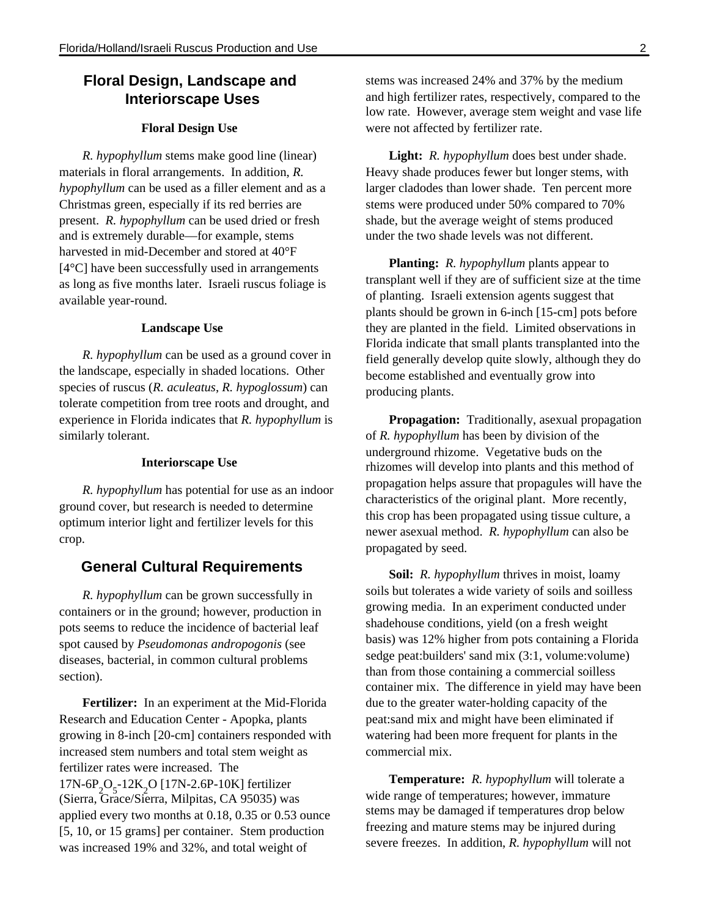# **Floral Design, Landscape and Interiorscape Uses**

## **Floral Design Use**

*R. hypophyllum* stems make good line (linear) materials in floral arrangements. In addition, *R. hypophyllum* can be used as a filler element and as a Christmas green, especially if its red berries are present. *R. hypophyllum* can be used dried or fresh and is extremely durable—for example, stems harvested in mid-December and stored at 40°F [4°C] have been successfully used in arrangements as long as five months later. Israeli ruscus foliage is available year-round.

## **Landscape Use**

*R. hypophyllum* can be used as a ground cover in the landscape, especially in shaded locations. Other species of ruscus (*R. aculeatus*, *R. hypoglossum*) can tolerate competition from tree roots and drought, and experience in Florida indicates that *R. hypophyllum* is similarly tolerant.

## **Interiorscape Use**

*R. hypophyllum* has potential for use as an indoor ground cover, but research is needed to determine optimum interior light and fertilizer levels for this crop.

## **General Cultural Requirements**

*R. hypophyllum* can be grown successfully in containers or in the ground; however, production in pots seems to reduce the incidence of bacterial leaf spot caused by *Pseudomonas andropogonis* (see diseases, bacterial, in common cultural problems section).

**Fertilizer:** In an experiment at the Mid-Florida Research and Education Center - Apopka, plants growing in 8-inch [20-cm] containers responded with increased stem numbers and total stem weight as fertilizer rates were increased. The  $17N-6P_2O_5 - 12K_2O$  [17N-2.6P-10K] fertilizer (Sierra, Grace/Sierra, Milpitas, CA 95035) was applied every two months at 0.18, 0.35 or 0.53 ounce [5, 10, or 15 grams] per container. Stem production was increased 19% and 32%, and total weight of

stems was increased 24% and 37% by the medium and high fertilizer rates, respectively, compared to the low rate. However, average stem weight and vase life were not affected by fertilizer rate.

**Light:** *R. hypophyllum* does best under shade. Heavy shade produces fewer but longer stems, with larger cladodes than lower shade. Ten percent more stems were produced under 50% compared to 70% shade, but the average weight of stems produced under the two shade levels was not different.

**Planting:** *R. hypophyllum* plants appear to transplant well if they are of sufficient size at the time of planting. Israeli extension agents suggest that plants should be grown in 6-inch [15-cm] pots before they are planted in the field. Limited observations in Florida indicate that small plants transplanted into the field generally develop quite slowly, although they do become established and eventually grow into producing plants.

**Propagation:** Traditionally, asexual propagation of *R. hypophyllum* has been by division of the underground rhizome. Vegetative buds on the rhizomes will develop into plants and this method of propagation helps assure that propagules will have the characteristics of the original plant. More recently, this crop has been propagated using tissue culture, a newer asexual method. *R. hypophyllum* can also be propagated by seed.

**Soil:** *R. hypophyllum* thrives in moist, loamy soils but tolerates a wide variety of soils and soilless growing media. In an experiment conducted under shadehouse conditions, yield (on a fresh weight basis) was 12% higher from pots containing a Florida sedge peat:builders' sand mix (3:1, volume:volume) than from those containing a commercial soilless container mix. The difference in yield may have been due to the greater water-holding capacity of the peat:sand mix and might have been eliminated if watering had been more frequent for plants in the commercial mix.

**Temperature:** *R. hypophyllum* will tolerate a wide range of temperatures; however, immature stems may be damaged if temperatures drop below freezing and mature stems may be injured during severe freezes. In addition, *R. hypophyllum* will not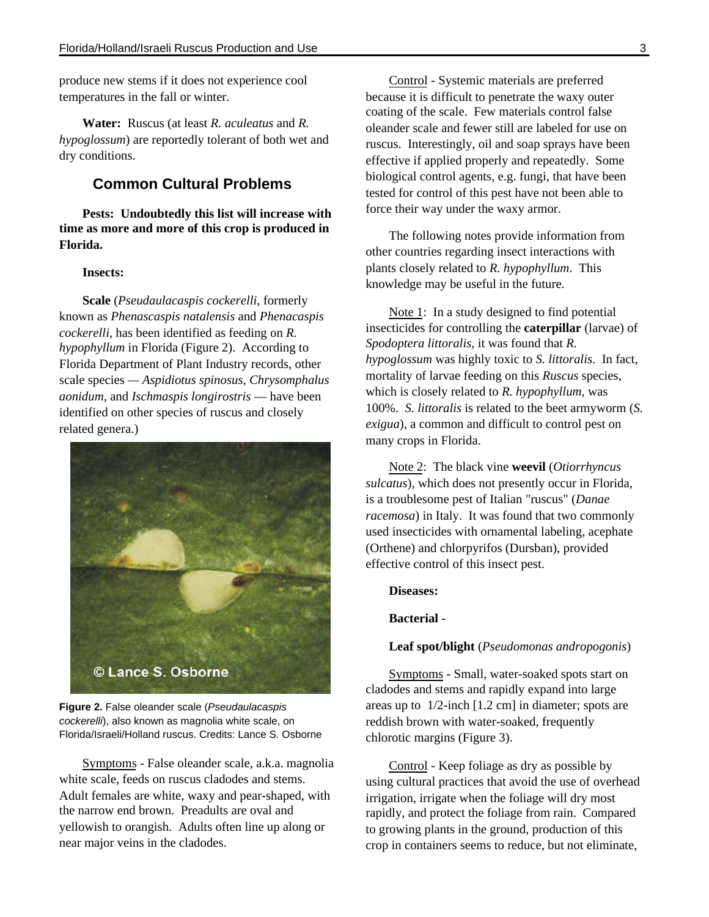produce new stems if it does not experience cool temperatures in the fall or winter.

**Water:** Ruscus (at least *R. aculeatus* and *R. hypoglossum*) are reportedly tolerant of both wet and dry conditions.

## **Common Cultural Problems**

**Pests: Undoubtedly this list will increase with time as more and more of this crop is produced in Florida.**

## **Insects:**

**Scale** (*Pseudaulacaspis cockerelli*, formerly known as *Phenascaspis natalensis* and *Phenacaspis cockerelli,* has been identified as feeding on *R. hypophyllum* in Florida (Figure 2). According to Florida Department of Plant Industry records, other scale species *— Aspidiotus spinosus*, *Chrysomphalus aonidum*, and *Ischmaspis longirostris* — have been identified on other species of ruscus and closely related genera.)



**Figure 2.** False oleander scale (*Pseudaulacaspis cockerelli*), also known as magnolia white scale, on Florida/Israeli/Holland ruscus. Credits: Lance S. Osborne

Symptoms - False oleander scale, a.k.a. magnolia white scale, feeds on ruscus cladodes and stems. Adult females are white, waxy and pear-shaped, with the narrow end brown. Preadults are oval and yellowish to orangish. Adults often line up along or near major veins in the cladodes.

Control - Systemic materials are preferred because it is difficult to penetrate the waxy outer coating of the scale. Few materials control false oleander scale and fewer still are labeled for use on ruscus. Interestingly, oil and soap sprays have been effective if applied properly and repeatedly. Some biological control agents, e.g. fungi, that have been tested for control of this pest have not been able to force their way under the waxy armor.

The following notes provide information from other countries regarding insect interactions with plants closely related to *R. hypophyllum*. This knowledge may be useful in the future.

Note 1: In a study designed to find potential insecticides for controlling the **caterpillar** (larvae) of *Spodoptera littoralis*, it was found that *R. hypoglossum* was highly toxic to *S. littoralis*. In fact, mortality of larvae feeding on this *Ruscus* species, which is closely related to *R. hypophyllum,* was 100%. *S. littoralis* is related to the beet armyworm (*S. exigua*), a common and difficult to control pest on many crops in Florida.

Note 2: The black vine **weevil** (*Otiorrhyncus sulcatus*), which does not presently occur in Florida, is a troublesome pest of Italian "ruscus" (*Danae racemosa*) in Italy. It was found that two commonly used insecticides with ornamental labeling, acephate (Orthene) and chlorpyrifos (Dursban), provided effective control of this insect pest.

#### **Diseases:**

**Bacterial -**

## **Leaf spot/blight** (*Pseudomonas andropogonis*)

Symptoms - Small, water-soaked spots start on cladodes and stems and rapidly expand into large areas up to 1/2-inch [1.2 cm] in diameter; spots are reddish brown with water-soaked, frequently chlorotic margins (Figure 3).

Control - Keep foliage as dry as possible by using cultural practices that avoid the use of overhead irrigation, irrigate when the foliage will dry most rapidly, and protect the foliage from rain. Compared to growing plants in the ground, production of this crop in containers seems to reduce, but not eliminate,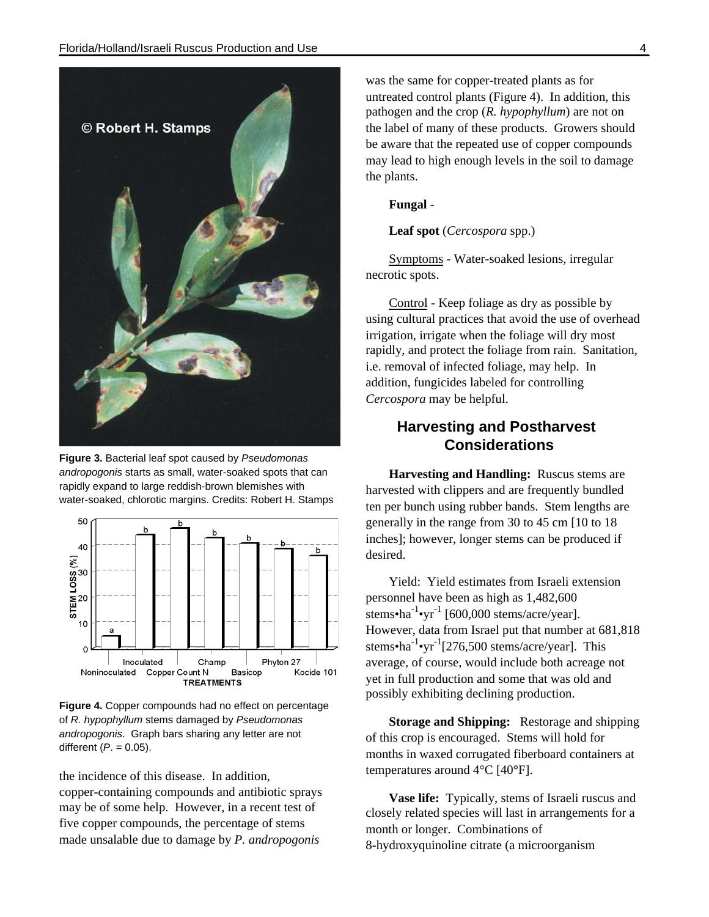

**Figure 3.** Bacterial leaf spot caused by *Pseudomonas andropogonis* starts as small, water-soaked spots that can rapidly expand to large reddish-brown blemishes with water-soaked, chlorotic margins. Credits: Robert H. Stamps



**Figure 4.** Copper compounds had no effect on percentage of *R. hypophyllum* stems damaged by *Pseudomonas andropogonis*. Graph bars sharing any letter are not different (*P*. = 0.05).

the incidence of this disease. In addition, copper-containing compounds and antibiotic sprays may be of some help. However, in a recent test of five copper compounds, the percentage of stems made unsalable due to damage by *P. andropogonis*

was the same for copper-treated plants as for untreated control plants (Figure 4). In addition, this pathogen and the crop (*R. hypophyllum*) are not on the label of many of these products. Growers should be aware that the repeated use of copper compounds may lead to high enough levels in the soil to damage the plants.

## **Fungal** -

**Leaf spot** (*Cercospora* spp.)

Symptoms - Water-soaked lesions, irregular necrotic spots.

Control - Keep foliage as dry as possible by using cultural practices that avoid the use of overhead irrigation, irrigate when the foliage will dry most rapidly, and protect the foliage from rain. Sanitation, i.e. removal of infected foliage, may help. In addition, fungicides labeled for controlling *Cercospora* may be helpful.

# **Harvesting and Postharvest Considerations**

**Harvesting and Handling:** Ruscus stems are harvested with clippers and are frequently bundled ten per bunch using rubber bands. Stem lengths are generally in the range from 30 to 45 cm [10 to 18 inches]; however, longer stems can be produced if desired.

Yield: Yield estimates from Israeli extension personnel have been as high as 1,482,600  $s$ tems•ha<sup>-1</sup>•yr<sup>-1</sup> [600,000 stems/acre/year]. However, data from Israel put that number at 681,818 stems•ha<sup>-1</sup>•yr<sup>-1</sup>[276,500 stems/acre/year]. This average, of course, would include both acreage not yet in full production and some that was old and possibly exhibiting declining production.

**Storage and Shipping:** Restorage and shipping of this crop is encouraged. Stems will hold for months in waxed corrugated fiberboard containers at temperatures around 4°C [40**°**F].

**Vase life:** Typically, stems of Israeli ruscus and closely related species will last in arrangements for a month or longer. Combinations of 8-hydroxyquinoline citrate (a microorganism